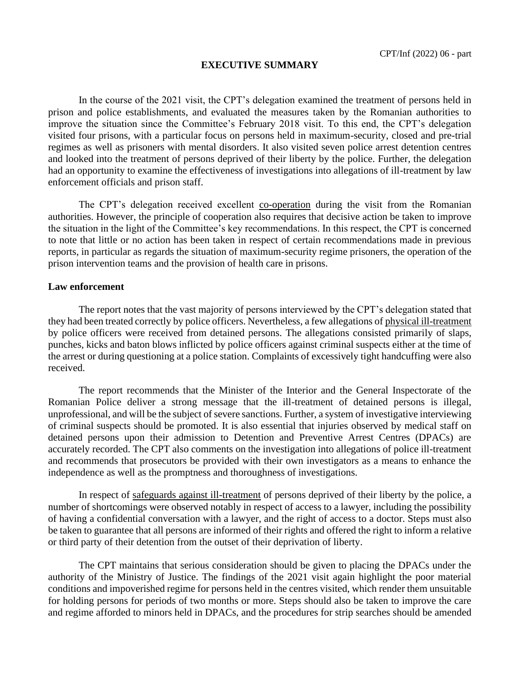## **EXECUTIVE SUMMARY**

In the course of the 2021 visit, the CPT's delegation examined the treatment of persons held in prison and police establishments, and evaluated the measures taken by the Romanian authorities to improve the situation since the Committee's February 2018 visit. To this end, the CPT's delegation visited four prisons, with a particular focus on persons held in maximum-security, closed and pre-trial regimes as well as prisoners with mental disorders. It also visited seven police arrest detention centres and looked into the treatment of persons deprived of their liberty by the police. Further, the delegation had an opportunity to examine the effectiveness of investigations into allegations of ill-treatment by law enforcement officials and prison staff.

The CPT's delegation received excellent co-operation during the visit from the Romanian authorities. However, the principle of cooperation also requires that decisive action be taken to improve the situation in the light of the Committee's key recommendations. In this respect, the CPT is concerned to note that little or no action has been taken in respect of certain recommendations made in previous reports, in particular as regards the situation of maximum-security regime prisoners, the operation of the prison intervention teams and the provision of health care in prisons.

## **Law enforcement**

The report notes that the vast majority of persons interviewed by the CPT's delegation stated that they had been treated correctly by police officers. Nevertheless, a few allegations of physical ill-treatment by police officers were received from detained persons. The allegations consisted primarily of slaps, punches, kicks and baton blows inflicted by police officers against criminal suspects either at the time of the arrest or during questioning at a police station. Complaints of excessively tight handcuffing were also received.

The report recommends that the Minister of the Interior and the General Inspectorate of the Romanian Police deliver a strong message that the ill-treatment of detained persons is illegal, unprofessional, and will be the subject of severe sanctions. Further, a system of investigative interviewing of criminal suspects should be promoted. It is also essential that injuries observed by medical staff on detained persons upon their admission to Detention and Preventive Arrest Centres (DPACs) are accurately recorded. The CPT also comments on the investigation into allegations of police ill-treatment and recommends that prosecutors be provided with their own investigators as a means to enhance the independence as well as the promptness and thoroughness of investigations.

In respect of safeguards against ill-treatment of persons deprived of their liberty by the police, a number of shortcomings were observed notably in respect of access to a lawyer, including the possibility of having a confidential conversation with a lawyer, and the right of access to a doctor. Steps must also be taken to guarantee that all persons are informed of their rights and offered the right to inform a relative or third party of their detention from the outset of their deprivation of liberty.

The CPT maintains that serious consideration should be given to placing the DPACs under the authority of the Ministry of Justice. The findings of the 2021 visit again highlight the poor material conditions and impoverished regime for persons held in the centres visited, which render them unsuitable for holding persons for periods of two months or more. Steps should also be taken to improve the care and regime afforded to minors held in DPACs, and the procedures for strip searches should be amended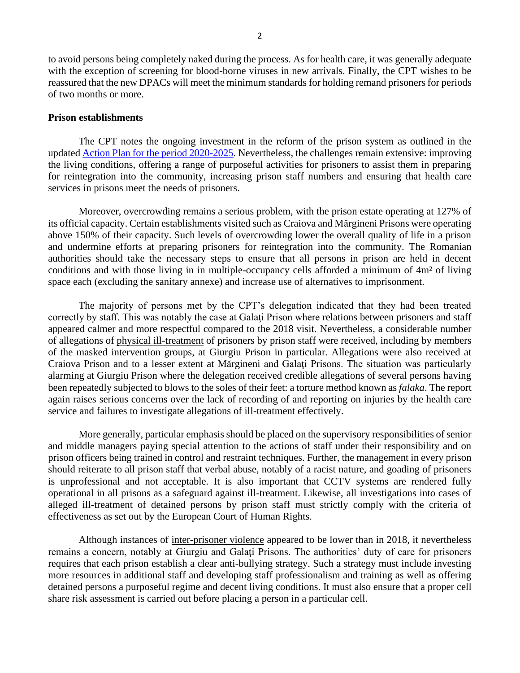to avoid persons being completely naked during the process. As for health care, it was generally adequate with the exception of screening for blood-borne viruses in new arrivals. Finally, the CPT wishes to be reassured that the new DPACs will meet the minimum standards for holding remand prisoners for periods of two months or more.

## **Prison establishments**

The CPT notes the ongoing investment in the reform of the prison system as outlined in the updated Action Plan for the period 2020-2025. Nevertheless, the challenges remain extensive: improving the living conditions, offering a range of purposeful activities for prisoners to assist them in preparing for reintegration into the community, increasing prison staff numbers and ensuring that health care services in prisons meet the needs of prisoners.

Moreover, overcrowding remains a serious problem, with the prison estate operating at 127% of its official capacity. Certain establishments visited such as Craiova and Mărgineni Prisons were operating above 150% of their capacity. Such levels of overcrowding lower the overall quality of life in a prison and undermine efforts at preparing prisoners for reintegration into the community. The Romanian authorities should take the necessary steps to ensure that all persons in prison are held in decent conditions and with those living in in multiple-occupancy cells afforded a minimum of 4m² of living space each (excluding the sanitary annexe) and increase use of alternatives to imprisonment.

The majority of persons met by the CPT's delegation indicated that they had been treated correctly by staff. This was notably the case at Galati Prison where relations between prisoners and staff appeared calmer and more respectful compared to the 2018 visit. Nevertheless, a considerable number of allegations of physical ill-treatment of prisoners by prison staff were received, including by members of the masked intervention groups, at Giurgiu Prison in particular. Allegations were also received at Craiova Prison and to a lesser extent at Mărgineni and Galaţi Prisons. The situation was particularly alarming at Giurgiu Prison where the delegation received credible allegations of several persons having been repeatedly subjected to blows to the soles of their feet: a torture method known as *falaka*. The report again raises serious concerns over the lack of recording of and reporting on injuries by the health care service and failures to investigate allegations of ill-treatment effectively.

More generally, particular emphasis should be placed on the supervisory responsibilities of senior and middle managers paying special attention to the actions of staff under their responsibility and on prison officers being trained in control and restraint techniques. Further, the management in every prison should reiterate to all prison staff that verbal abuse, notably of a racist nature, and goading of prisoners is unprofessional and not acceptable. It is also important that CCTV systems are rendered fully operational in all prisons as a safeguard against ill-treatment. Likewise, all investigations into cases of alleged ill-treatment of detained persons by prison staff must strictly comply with the criteria of effectiveness as set out by the European Court of Human Rights.

Although instances of inter-prisoner violence appeared to be lower than in 2018, it nevertheless remains a concern, notably at Giurgiu and Galaţi Prisons. The authorities' duty of care for prisoners requires that each prison establish a clear anti-bullying strategy. Such a strategy must include investing more resources in additional staff and developing staff professionalism and training as well as offering detained persons a purposeful regime and decent living conditions. It must also ensure that a proper cell share risk assessment is carried out before placing a person in a particular cell.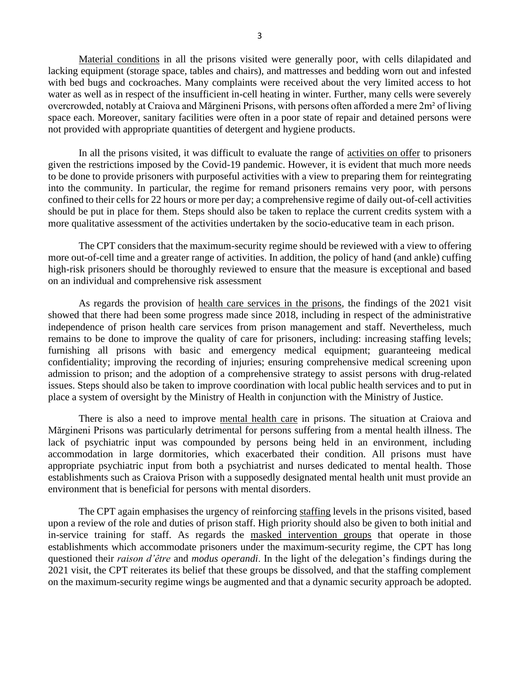Material conditions in all the prisons visited were generally poor, with cells dilapidated and lacking equipment (storage space, tables and chairs), and mattresses and bedding worn out and infested with bed bugs and cockroaches. Many complaints were received about the very limited access to hot water as well as in respect of the insufficient in-cell heating in winter. Further, many cells were severely overcrowded, notably at Craiova and Mărgineni Prisons, with persons often afforded a mere 2m² of living space each. Moreover, sanitary facilities were often in a poor state of repair and detained persons were not provided with appropriate quantities of detergent and hygiene products.

In all the prisons visited, it was difficult to evaluate the range of activities on offer to prisoners given the restrictions imposed by the Covid-19 pandemic. However, it is evident that much more needs to be done to provide prisoners with purposeful activities with a view to preparing them for reintegrating into the community. In particular, the regime for remand prisoners remains very poor, with persons confined to their cells for 22 hours or more per day; a comprehensive regime of daily out-of-cell activities should be put in place for them. Steps should also be taken to replace the current credits system with a more qualitative assessment of the activities undertaken by the socio-educative team in each prison.

The CPT considers that the maximum-security regime should be reviewed with a view to offering more out-of-cell time and a greater range of activities. In addition, the policy of hand (and ankle) cuffing high-risk prisoners should be thoroughly reviewed to ensure that the measure is exceptional and based on an individual and comprehensive risk assessment

As regards the provision of health care services in the prisons, the findings of the 2021 visit showed that there had been some progress made since 2018, including in respect of the administrative independence of prison health care services from prison management and staff. Nevertheless, much remains to be done to improve the quality of care for prisoners, including: increasing staffing levels; furnishing all prisons with basic and emergency medical equipment; guaranteeing medical confidentiality; improving the recording of injuries; ensuring comprehensive medical screening upon admission to prison; and the adoption of a comprehensive strategy to assist persons with drug-related issues. Steps should also be taken to improve coordination with local public health services and to put in place a system of oversight by the Ministry of Health in conjunction with the Ministry of Justice.

There is also a need to improve mental health care in prisons. The situation at Craiova and Mărgineni Prisons was particularly detrimental for persons suffering from a mental health illness. The lack of psychiatric input was compounded by persons being held in an environment, including accommodation in large dormitories, which exacerbated their condition. All prisons must have appropriate psychiatric input from both a psychiatrist and nurses dedicated to mental health. Those establishments such as Craiova Prison with a supposedly designated mental health unit must provide an environment that is beneficial for persons with mental disorders.

The CPT again emphasises the urgency of reinforcing staffing levels in the prisons visited, based upon a review of the role and duties of prison staff. High priority should also be given to both initial and in-service training for staff. As regards the masked intervention groups that operate in those establishments which accommodate prisoners under the maximum-security regime, the CPT has long questioned their *raison d'être* and *modus operandi*. In the light of the delegation's findings during the 2021 visit, the CPT reiterates its belief that these groups be dissolved, and that the staffing complement on the maximum-security regime wings be augmented and that a dynamic security approach be adopted.